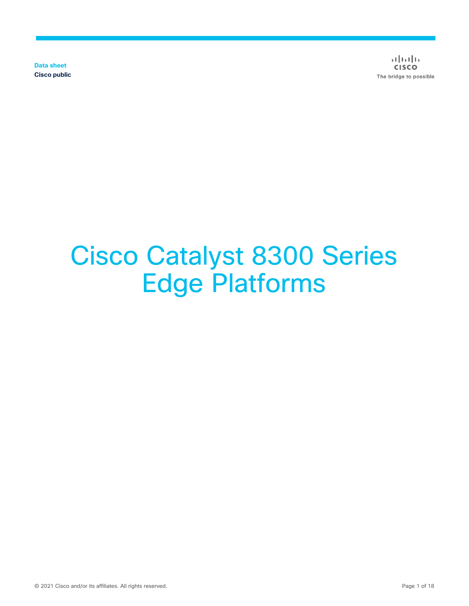**Data sheet Cisco public**

 $\frac{1}{2}$  $\frac{1}{2}$  $\frac{1}{2}$  $\frac{1}{2}$  $\frac{1}{2}$ **CISCO** The bridge to possible

# Cisco Catalyst 8300 Series Edge Platforms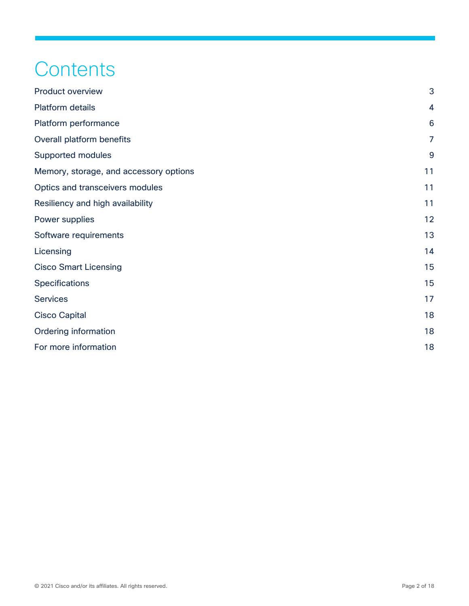# **Contents**

| <b>Product overview</b>                | 3              |
|----------------------------------------|----------------|
| <b>Platform details</b>                | $\overline{4}$ |
| Platform performance                   | 6              |
| Overall platform benefits              | $\overline{7}$ |
| Supported modules                      | 9              |
| Memory, storage, and accessory options | 11             |
| Optics and transceivers modules        | 11             |
| Resiliency and high availability       | 11             |
| Power supplies                         | 12             |
| Software requirements                  | 13             |
| Licensing                              | 14             |
| <b>Cisco Smart Licensing</b>           | 15             |
| Specifications                         | 15             |
| <b>Services</b>                        | 17             |
| <b>Cisco Capital</b>                   | 18             |
| <b>Ordering information</b>            | 18             |
| For more information                   | 18             |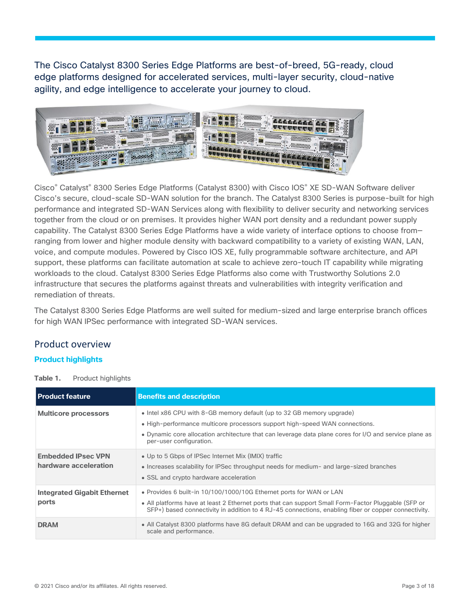The Cisco Catalyst 8300 Series Edge Platforms are best-of-breed, 5G-ready, cloud edge platforms designed for accelerated services, multi-layer security, cloud-native agility, and edge intelligence to accelerate your journey to cloud.



Cisco® Catalyst® 8300 Series Edge Platforms (Catalyst 8300) with Cisco IOS® XE SD-WAN Software deliver Cisco's secure, cloud-scale SD-WAN solution for the branch. The Catalyst 8300 Series is purpose-built for high performance and integrated SD-WAN Services along with flexibility to deliver security and networking services together from the cloud or on premises. It provides higher WAN port density and a redundant power supply capability. The Catalyst 8300 Series Edge Platforms have a wide variety of interface options to choose from ranging from lower and higher module density with backward compatibility to a variety of existing WAN, LAN, voice, and compute modules. Powered by Cisco IOS XE, fully programmable software architecture, and API support, these platforms can facilitate automation at scale to achieve zero-touch IT capability while migrating workloads to the cloud. Catalyst 8300 Series Edge Platforms also come with Trustworthy Solutions 2.0 infrastructure that secures the platforms against threats and vulnerabilities with integrity verification and remediation of threats.

The Catalyst 8300 Series Edge Platforms are well suited for medium-sized and large enterprise branch offices for high WAN IPSec performance with integrated SD-WAN services.

# <span id="page-2-0"></span>Product overview

### **Product highlights**

**Table 1.** Product highlights

| <b>Product feature</b>                             | <b>Benefits and description</b>                                                                                                                                                                                                                                                           |
|----------------------------------------------------|-------------------------------------------------------------------------------------------------------------------------------------------------------------------------------------------------------------------------------------------------------------------------------------------|
| <b>Multicore processors</b>                        | • Intel x86 CPU with 8-GB memory default (up to 32 GB memory upgrade)<br>• High-performance multicore processors support high-speed WAN connections.<br>• Dynamic core allocation architecture that can leverage data plane cores for I/O and service plane as<br>per-user configuration. |
| <b>Embedded IPsec VPN</b><br>hardware acceleration | • Up to 5 Gbps of IPSec Internet Mix (IMIX) traffic<br>• Increases scalability for IPSec throughput needs for medium- and large-sized branches<br>• SSL and crypto hardware acceleration                                                                                                  |
| <b>Integrated Gigabit Ethernet</b><br>ports        | • Provides 6 built-in 10/100/1000/10G Ethernet ports for WAN or LAN<br>• All platforms have at least 2 Ethernet ports that can support Small Form-Factor Pluggable (SFP or<br>SFP+) based connectivity in addition to 4 RJ-45 connections, enabling fiber or copper connectivity.         |
| <b>DRAM</b>                                        | • All Catalyst 8300 platforms have 8G default DRAM and can be upgraded to 16G and 32G for higher<br>scale and performance.                                                                                                                                                                |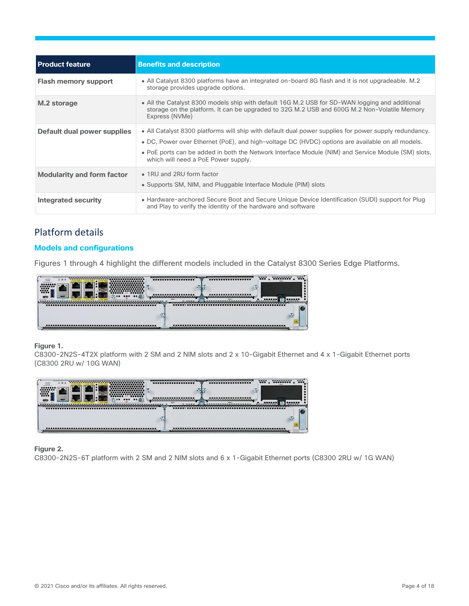| <b>Product feature</b>             | <b>Benefits and description</b>                                                                                                                                                                                                                                                                                                                        |
|------------------------------------|--------------------------------------------------------------------------------------------------------------------------------------------------------------------------------------------------------------------------------------------------------------------------------------------------------------------------------------------------------|
| <b>Flash memory support</b>        | • All Catalyst 8300 platforms have an integrated on-board 8G flash and it is not upgradeable. M.2<br>storage provides upgrade options.                                                                                                                                                                                                                 |
| M.2 storage                        | • All the Catalyst 8300 models ship with default 16G M.2 USB for SD-WAN logging and additional<br>storage on the platform. It can be upgraded to 32G M.2 USB and 600G M.2 Non-Volatile Memory<br>Express (NVMe)                                                                                                                                        |
| <b>Default dual power supplies</b> | • All Catalyst 8300 platforms will ship with default dual power supplies for power supply redundancy.<br>• DC, Power over Ethernet (PoE), and high-voltage DC (HVDC) options are available on all models.<br>• PoE ports can be added in both the Network Interface Module (NIM) and Service Module (SM) slots,<br>which will need a PoE Power supply. |
| <b>Modularity and form factor</b>  | • 1RU and 2RU form factor<br>• Supports SM, NIM, and Pluggable Interface Module (PIM) slots                                                                                                                                                                                                                                                            |
| Integrated security                | • Hardware-anchored Secure Boot and Secure Unique Device Identification (SUDI) support for Plug<br>and Play to verify the identity of the hardware and software                                                                                                                                                                                        |

# <span id="page-3-0"></span>Platform details

### **Models and configurations**

Figures 1 through 4 highlight the different models included in the Catalyst 8300 Series Edge Platforms.



### **Figure 1.**

C8300-2N2S-4T2X platform with 2 SM and 2 NIM slots and 2 x 10-Gigabit Ethernet and 4 x 1-Gigabit Ethernet ports (C8300 2RU w/ 10G WAN)



### **Figure 2.**

C8300-2N2S-6T platform with 2 SM and 2 NIM slots and 6 x 1-Gigabit Ethernet ports (C8300 2RU w/ 1G WAN)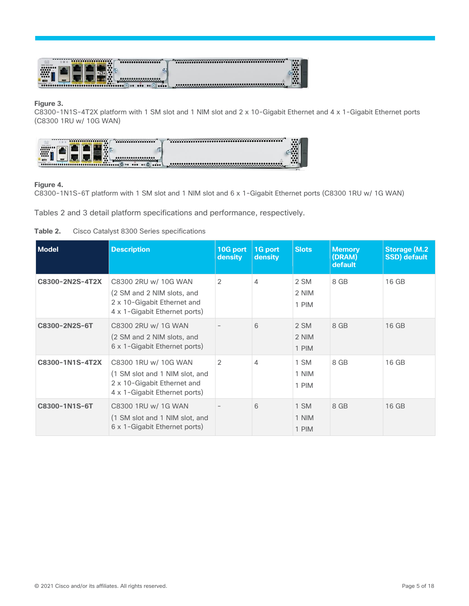

### **Figure 3.**

C8300-1N1S-4T2X platform with 1 SM slot and 1 NIM slot and 2 x 10-Gigabit Ethernet and 4 x 1-Gigabit Ethernet ports (C8300 1RU w/ 10G WAN)



### **Figure 4.**

C8300-1N1S-6T platform with 1 SM slot and 1 NIM slot and 6 x 1-Gigabit Ethernet ports (C8300 1RU w/ 1G WAN)

Tables 2 and 3 detail platform specifications and performance, respectively.



| Model           | <b>Description</b>                                                                                                     | 10G port<br><b>density</b> | 1G port<br>density | <b>Slots</b>           | <b>Memory</b><br>(DRAM)<br>default | <b>Storage (M.2)</b><br><b>SSD)</b> default |
|-----------------|------------------------------------------------------------------------------------------------------------------------|----------------------------|--------------------|------------------------|------------------------------------|---------------------------------------------|
| C8300-2N2S-4T2X | C8300 2RU w/ 10G WAN<br>(2 SM and 2 NIM slots, and<br>2 x 10-Gigabit Ethernet and<br>4 x 1-Gigabit Ethernet ports)     | 2                          | 4                  | 2 SM<br>2 NIM<br>1 PIM | 8 GB                               | 16 GB                                       |
| C8300-2N2S-6T   | C8300 2RU w/ 1G WAN<br>(2 SM and 2 NIM slots, and<br>6 x 1-Gigabit Ethernet ports)                                     |                            | 6                  | 2 SM<br>2 NIM<br>1 PIM | 8 GB                               | 16 GB                                       |
| C8300-1N1S-4T2X | C8300 1RU w/ 10G WAN<br>(1 SM slot and 1 NIM slot, and<br>2 x 10-Gigabit Ethernet and<br>4 x 1-Gigabit Ethernet ports) | $\mathcal{P}$              | 4                  | 1 SM<br>1 NIM<br>1 PIM | 8 GB                               | 16 GB                                       |
| C8300-1N1S-6T   | C8300 1RU w/ 1G WAN<br>(1 SM slot and 1 NIM slot, and<br>6 x 1-Gigabit Ethernet ports)                                 |                            | 6                  | 1 SM<br>1 NIM<br>1 PIM | 8 GB                               | 16 GB                                       |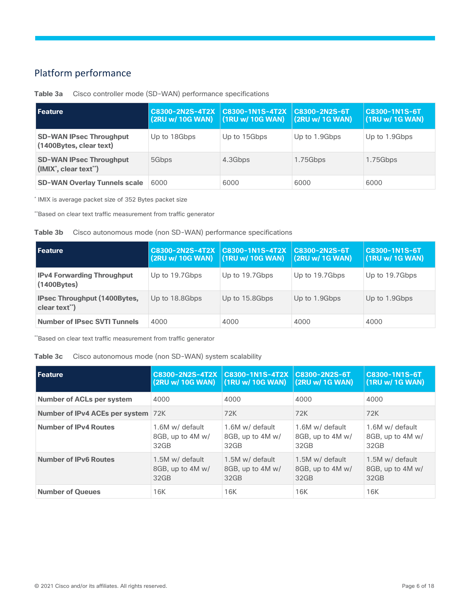# <span id="page-5-0"></span>Platform performance

| l Feature                                                 | <b>C8300-2N2S-4T2X</b><br>(2RU w/ 10G WAN) | $\sqrt{28300-1}$ N1S-4T2X<br>(1RU w/ 10G WAN) | C8300-2N2S-6T<br>(2RU w/ 1G WAN) | <b>C8300-1N1S-6T</b><br>(1RU w/ 1G WAN) |
|-----------------------------------------------------------|--------------------------------------------|-----------------------------------------------|----------------------------------|-----------------------------------------|
| <b>SD-WAN IPsec Throughput</b><br>(1400Bytes, clear text) | Up to 18Gbps                               | Up to 15Gbps                                  | Up to 1.9Gbps                    | Up to 1.9Gbps                           |
| <b>SD-WAN IPsec Throughput</b><br>(IMIX', clear text")    | 5Gbps                                      | 4.3Gbps                                       | 1.75Gbps                         | 1.75Gbps                                |
| <b>SD-WAN Overlay Tunnels scale</b>                       | 6000                                       | 6000                                          | 6000                             | 6000                                    |

### **Table 3a** Cisco controller mode (SD-WAN) performance specifications

\* IMIX is average packet size of 352 Bytes packet size

\*\*Based on clear text traffic measurement from traffic generator

|  | Table 3b | Cisco autonomous mode (non SD-WAN) performance specifications |  |  |  |  |
|--|----------|---------------------------------------------------------------|--|--|--|--|
|--|----------|---------------------------------------------------------------|--|--|--|--|

| <b>Feature</b>                                         | C8300-2N2S-4T2X C8300-1N1S-4T2X<br>$(2RU w/ 10G WAN)$ $(1RU w/ 10G WAN)$ |                | <b>C8300-2N2S-6T</b><br>(2RU w/ 1G WAN) | C8300-1N1S-6T<br>(1RU w/ 1G WAN) |
|--------------------------------------------------------|--------------------------------------------------------------------------|----------------|-----------------------------------------|----------------------------------|
| <b>IPv4 Forwarding Throughput</b><br>$(1400$ Bytes $)$ | Up to 19.7Gbps                                                           | Up to 19.7Gbps | Up to 19.7Gbps                          | Up to 19.7Gbps                   |
| <b>IPsec Throughput (1400Bytes,</b><br>clear text")    | Up to 18.8Gbps                                                           | Up to 15.8Gbps | Up to 1.9Gbps                           | Up to 1.9Gbps                    |
| <b>Number of IPsec SVTI Tunnels</b>                    | 4000                                                                     | 4000           | 4000                                    | 4000                             |

\*\*Based on clear text traffic measurement from traffic generator

### **Table 3c** Cisco autonomous mode (non SD-WAN) system scalability

| <b>Feature</b>                     | C8300-2N2S-4T2X  | C8300-1N1S-4T2X  | C8300-2N2S-6T    | C8300-1N1S-6T    |
|------------------------------------|------------------|------------------|------------------|------------------|
|                                    | (2RU w/ 10G WAN) | (1RU w/ 10G WAN) | (2RU w/ 1G WAN)  | (1RU w/ 1G WAN)  |
| <b>Number of ACLs per system</b>   | 4000             | 4000             | 4000             | 4000             |
| Number of IPv4 ACEs per system 72K |                  | 72K              | 72K              | 72K              |
| <b>Number of IPv4 Routes</b>       | 1.6M w/ default  | 1.6M w/ default  | 1.6M w/ default  | 1.6M w/ default  |
|                                    | 8GB, up to 4M w/ | 8GB, up to 4M w/ | 8GB, up to 4M w/ | 8GB, up to 4M w/ |
|                                    | 32GB             | 32 <sub>GB</sub> | 32GB             | 32GB             |
| <b>Number of IPv6 Routes</b>       | 1.5M w/ default  | 1.5M w/ default  | 1.5M w/ default  | 1.5M w/ default  |
|                                    | 8GB, up to 4M w/ | 8GB, up to 4M w/ | 8GB, up to 4M w/ | 8GB, up to 4M w/ |
|                                    | 32GB             | 32 <sub>GB</sub> | 32 <sub>GB</sub> | 32 <sub>GB</sub> |
| <b>Number of Queues</b>            | 16K              | 16K              | 16K              | 16K              |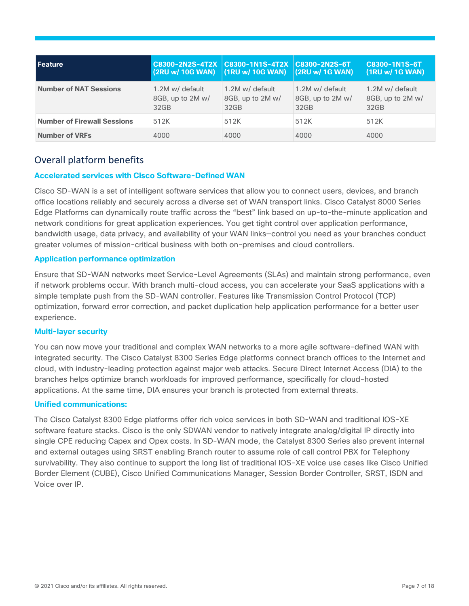| <b>Feature</b>                     | C8300-2N2S-4T2X C8300-1N1S-4T2X<br>(2RU w/ 10G WAN) | $\vert$ (1RU w/ 10G WAN)                    | C8300-2N2S-6T<br>(2RU w/ 1G WAN)            | C8300-1N1S-6T<br>(1RU w/ 1G WAN)                        |
|------------------------------------|-----------------------------------------------------|---------------------------------------------|---------------------------------------------|---------------------------------------------------------|
| <b>Number of NAT Sessions</b>      | 1.2M w/ default<br>8GB, up to 2M w/<br>32GB         | 1.2M w/ default<br>8GB, up to 2M w/<br>32GB | 1.2M w/ default<br>8GB, up to 2M w/<br>32GB | 1.2M w/ default<br>8GB, up to 2M w/<br>32 <sub>GB</sub> |
| <b>Number of Firewall Sessions</b> | 512K                                                | 512K                                        | 512K                                        | 512K                                                    |
| <b>Number of VRFs</b>              | 4000                                                | 4000                                        | 4000                                        | 4000                                                    |

# <span id="page-6-0"></span>Overall platform benefits

### **Accelerated services with Cisco Software-Defined WAN**

Cisco SD-WAN is a set of intelligent software services that allow you to connect users, devices, and branch office locations reliably and securely across a diverse set of WAN transport links. Cisco Catalyst 8000 Series Edge Platforms can dynamically route traffic across the "best" link based on up-to-the-minute application and network conditions for great application experiences. You get tight control over application performance, bandwidth usage, data privacy, and availability of your WAN links—control you need as your branches conduct greater volumes of mission-critical business with both on-premises and cloud controllers.

### **Application performance optimization**

Ensure that SD-WAN networks meet Service-Level Agreements (SLAs) and maintain strong performance, even if network problems occur. With branch multi-cloud access, you can accelerate your SaaS applications with a simple template push from the SD-WAN controller. Features like Transmission Control Protocol (TCP) optimization, forward error correction, and packet duplication help application performance for a better user experience.

### **Multi-layer security**

You can now move your traditional and complex WAN networks to a more agile software-defined WAN with integrated security. The Cisco Catalyst 8300 Series Edge platforms connect branch offices to the Internet and cloud, with industry-leading protection against major web attacks. Secure Direct Internet Access (DIA) to the branches helps optimize branch workloads for improved performance, specifically for cloud-hosted applications. At the same time, DIA ensures your branch is protected from external threats.

### **Unified communications:**

The Cisco Catalyst 8300 Edge platforms offer rich voice services in both SD-WAN and traditional IOS-XE software feature stacks. Cisco is the only SDWAN vendor to natively integrate analog/digital IP directly into single CPE reducing Capex and Opex costs. In SD-WAN mode, the Catalyst 8300 Series also prevent internal and external outages using SRST enabling Branch router to assume role of call control PBX for Telephony survivability. They also continue to support the long list of traditional IOS-XE voice use cases like Cisco Unified Border Element (CUBE), Cisco Unified Communications Manager, Session Border Controller, SRST, ISDN and Voice over IP.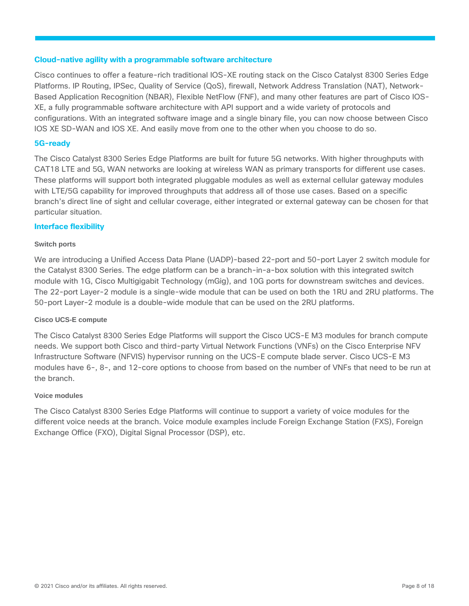### **Cloud-native agility with a programmable software architecture**

Cisco continues to offer a feature-rich traditional IOS-XE routing stack on the Cisco Catalyst 8300 Series Edge Platforms. IP Routing, IPSec, Quality of Service (QoS), firewall, Network Address Translation (NAT), Network-Based Application Recognition (NBAR), Flexible NetFlow (FNF), and many other features are part of Cisco IOS-XE, a fully programmable software architecture with API support and a wide variety of protocols and configurations. With an integrated software image and a single binary file, you can now choose between Cisco IOS XE SD-WAN and IOS XE. And easily move from one to the other when you choose to do so.

### **5G-ready**

The Cisco Catalyst 8300 Series Edge Platforms are built for future 5G networks. With higher throughputs with CAT18 LTE and 5G, WAN networks are looking at wireless WAN as primary transports for different use cases. These platforms will support both integrated pluggable modules as well as external cellular gateway modules with LTE/5G capability for improved throughputs that address all of those use cases. Based on a specific branch's direct line of sight and cellular coverage, either integrated or external gateway can be chosen for that particular situation.

### **Interface flexibility**

### **Switch ports**

We are introducing a Unified Access Data Plane (UADP)-based 22-port and 50-port Layer 2 switch module for the Catalyst 8300 Series. The edge platform can be a branch-in-a-box solution with this integrated switch module with 1G, Cisco Multigigabit Technology (mGig), and 10G ports for downstream switches and devices. The 22-port Layer-2 module is a single-wide module that can be used on both the 1RU and 2RU platforms. The 50-port Layer-2 module is a double-wide module that can be used on the 2RU platforms.

### **Cisco UCS-E compute**

The Cisco Catalyst 8300 Series Edge Platforms will support the Cisco UCS-E M3 modules for branch compute needs. We support both Cisco and third-party Virtual Network Functions (VNFs) on the Cisco Enterprise NFV Infrastructure Software (NFVIS) hypervisor running on the UCS-E compute blade server. Cisco UCS-E M3 modules have 6-, 8-, and 12-core options to choose from based on the number of VNFs that need to be run at the branch.

### **Voice modules**

The Cisco Catalyst 8300 Series Edge Platforms will continue to support a variety of voice modules for the different voice needs at the branch. Voice module examples include Foreign Exchange Station (FXS), Foreign Exchange Office (FXO), Digital Signal Processor (DSP), etc.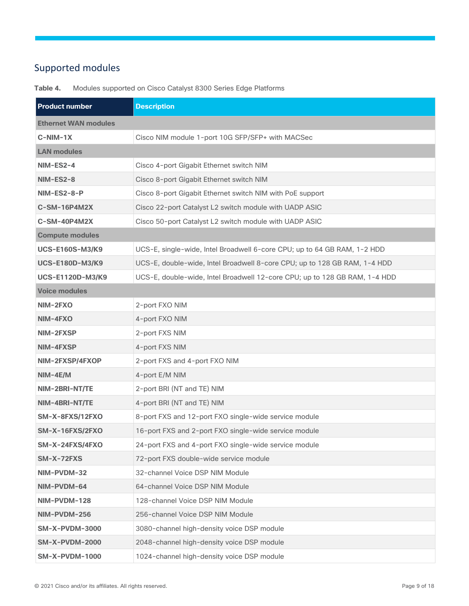# <span id="page-8-0"></span>Supported modules

| <b>Product number</b>       | <b>Description</b>                                                         |
|-----------------------------|----------------------------------------------------------------------------|
| <b>Ethernet WAN modules</b> |                                                                            |
| $C-NIM-1X$                  | Cisco NIM module 1-port 10G SFP/SFP+ with MACSec                           |
| <b>LAN modules</b>          |                                                                            |
| NIM-ES2-4                   | Cisco 4-port Gigabit Ethernet switch NIM                                   |
| <b>NIM-ES2-8</b>            | Cisco 8-port Gigabit Ethernet switch NIM                                   |
| NIM-ES2-8-P                 | Cisco 8-port Gigabit Ethernet switch NIM with PoE support                  |
| C-SM-16P4M2X                | Cisco 22-port Catalyst L2 switch module with UADP ASIC                     |
| C-SM-40P4M2X                | Cisco 50-port Catalyst L2 switch module with UADP ASIC                     |
| <b>Compute modules</b>      |                                                                            |
| <b>UCS-E160S-M3/K9</b>      | UCS-E, single-wide, Intel Broadwell 6-core CPU; up to 64 GB RAM, 1-2 HDD   |
| <b>UCS-E180D-M3/K9</b>      | UCS-E, double-wide, Intel Broadwell 8-core CPU; up to 128 GB RAM, 1-4 HDD  |
| <b>UCS-E1120D-M3/K9</b>     | UCS-E, double-wide, Intel Broadwell 12-core CPU; up to 128 GB RAM, 1-4 HDD |
| <b>Voice modules</b>        |                                                                            |
| NIM-2FXO                    | 2-port FXO NIM                                                             |
| NIM-4FXO                    | 4-port FXO NIM                                                             |
| NIM-2FXSP                   | 2-port FXS NIM                                                             |
| NIM-4FXSP                   | 4-port FXS NIM                                                             |
| NIM-2FXSP/4FXOP             | 2-port FXS and 4-port FXO NIM                                              |
| $NIM-4E/M$                  | 4-port E/M NIM                                                             |
| NIM-2BRI-NT/TE              | 2-port BRI (NT and TE) NIM                                                 |
| NIM-4BRI-NT/TE              | 4-port BRI (NT and TE) NIM                                                 |
| SM-X-8FXS/12FXO             | 8-port FXS and 12-port FXO single-wide service module                      |
| SM-X-16FXS/2FXO             | 16-port FXS and 2-port FXO single-wide service module                      |
| SM-X-24FXS/4FXO             | 24-port FXS and 4-port FXO single-wide service module                      |
| SM-X-72FXS                  | 72-port FXS double-wide service module                                     |
| NIM-PVDM-32                 | 32-channel Voice DSP NIM Module                                            |
| NIM-PVDM-64                 | 64-channel Voice DSP NIM Module                                            |
| NIM-PVDM-128                | 128-channel Voice DSP NIM Module                                           |
| NIM-PVDM-256                | 256-channel Voice DSP NIM Module                                           |
| <b>SM-X-PVDM-3000</b>       | 3080-channel high-density voice DSP module                                 |
| <b>SM-X-PVDM-2000</b>       | 2048-channel high-density voice DSP module                                 |
| <b>SM-X-PVDM-1000</b>       | 1024-channel high-density voice DSP module                                 |

**Table 4.** Modules supported on Cisco Catalyst 8300 Series Edge Platforms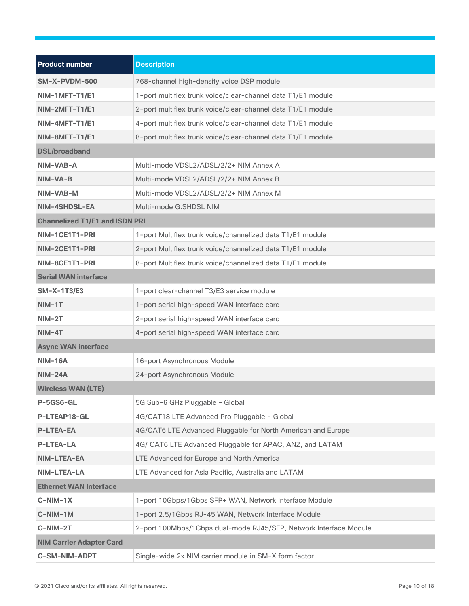| <b>Product number</b>                 | <b>Description</b>                                                |
|---------------------------------------|-------------------------------------------------------------------|
| <b>SM-X-PVDM-500</b>                  | 768-channel high-density voice DSP module                         |
| NIM-1MFT-T1/E1                        | 1-port multiflex trunk voice/clear-channel data T1/E1 module      |
| NIM-2MFT-T1/E1                        | 2-port multiflex trunk voice/clear-channel data T1/E1 module      |
| NIM-4MFT-T1/E1                        | 4-port multiflex trunk voice/clear-channel data T1/E1 module      |
| NIM-8MFT-T1/E1                        | 8-port multiflex trunk voice/clear-channel data T1/E1 module      |
| <b>DSL/broadband</b>                  |                                                                   |
| NIM-VAB-A                             | Multi-mode VDSL2/ADSL/2/2+ NIM Annex A                            |
| NIM-VA-B                              | Multi-mode VDSL2/ADSL/2/2+ NIM Annex B                            |
| NIM-VAB-M                             | Multi-mode VDSL2/ADSL/2/2+ NIM Annex M                            |
| NIM-4SHDSL-EA                         | Multi-mode G.SHDSL NIM                                            |
| <b>Channelized T1/E1 and ISDN PRI</b> |                                                                   |
| NIM-1CE1T1-PRI                        | 1-port Multiflex trunk voice/channelized data T1/E1 module        |
| NIM-2CE1T1-PRI                        | 2-port Multiflex trunk voice/channelized data T1/E1 module        |
| NIM-8CE1T1-PRI                        | 8-port Multiflex trunk voice/channelized data T1/E1 module        |
| <b>Serial WAN interface</b>           |                                                                   |
| <b>SM-X-1T3/E3</b>                    | 1-port clear-channel T3/E3 service module                         |
| $NIM-1T$                              | 1-port serial high-speed WAN interface card                       |
| $NIM-2T$                              | 2-port serial high-speed WAN interface card                       |
| $NIM-4T$                              | 4-port serial high-speed WAN interface card                       |
| <b>Async WAN interface</b>            |                                                                   |
| <b>NIM-16A</b>                        | 16-port Asynchronous Module                                       |
| <b>NIM-24A</b>                        | 24-port Asynchronous Module                                       |
| <b>Wireless WAN (LTE)</b>             |                                                                   |
| P-5GS6-GL                             | 5G Sub-6 GHz Pluggable - Global                                   |
| P-LTEAP18-GL                          | 4G/CAT18 LTE Advanced Pro Pluggable - Global                      |
| <b>P-LTEA-EA</b>                      | 4G/CAT6 LTE Advanced Pluggable for North American and Europe      |
| <b>P-LTEA-LA</b>                      | 4G/ CAT6 LTE Advanced Pluggable for APAC, ANZ, and LATAM          |
| NIM-LTEA-EA                           | LTE Advanced for Europe and North America                         |
| NIM-LTEA-LA                           | LTE Advanced for Asia Pacific, Australia and LATAM                |
| <b>Ethernet WAN Interface</b>         |                                                                   |
| $C-NIM-1X$                            | 1-port 10Gbps/1Gbps SFP+ WAN, Network Interface Module            |
| C-NIM-1M                              | 1-port 2.5/1Gbps RJ-45 WAN, Network Interface Module              |
| C-NIM-2T                              | 2-port 100Mbps/1Gbps dual-mode RJ45/SFP, Network Interface Module |
| <b>NIM Carrier Adapter Card</b>       |                                                                   |
| <b>C-SM-NIM-ADPT</b>                  | Single-wide 2x NIM carrier module in SM-X form factor             |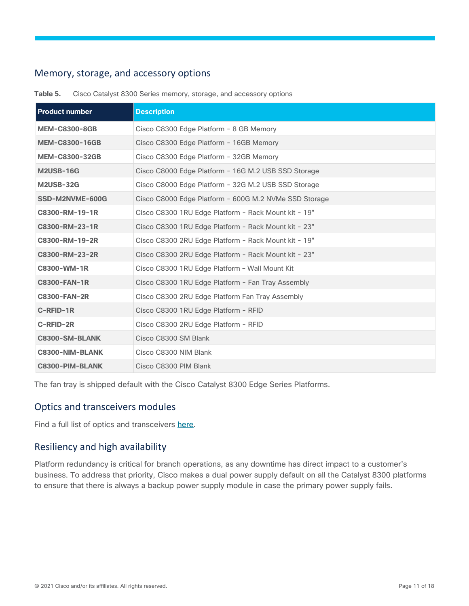# <span id="page-10-0"></span>Memory, storage, and accessory options

| <b>Product number</b>  | <b>Description</b>                                    |
|------------------------|-------------------------------------------------------|
| <b>MEM-C8300-8GB</b>   | Cisco C8300 Edge Platform - 8 GB Memory               |
| <b>MEM-C8300-16GB</b>  | Cisco C8300 Edge Platform - 16GB Memory               |
| <b>MEM-C8300-32GB</b>  | Cisco C8300 Edge Platform - 32GB Memory               |
| <b>M2USB-16G</b>       | Cisco C8000 Edge Platform - 16G M.2 USB SSD Storage   |
| <b>M2USB-32G</b>       | Cisco C8000 Edge Platform - 32G M.2 USB SSD Storage   |
| SSD-M2NVME-600G        | Cisco C8000 Edge Platform - 600G M.2 NVMe SSD Storage |
| C8300-RM-19-1R         | Cisco C8300 1RU Edge Platform - Rack Mount kit - 19"  |
| C8300-RM-23-1R         | Cisco C8300 1RU Edge Platform - Rack Mount kit - 23"  |
| C8300-RM-19-2R         | Cisco C8300 2RU Edge Platform - Rack Mount kit - 19"  |
| C8300-RM-23-2R         | Cisco C8300 2RU Edge Platform - Rack Mount kit - 23"  |
| C8300-WM-1R            | Cisco C8300 1RU Edge Platform - Wall Mount Kit        |
| <b>C8300-FAN-1R</b>    | Cisco C8300 1RU Edge Platform - Fan Tray Assembly     |
| <b>C8300-FAN-2R</b>    | Cisco C8300 2RU Edge Platform Fan Tray Assembly       |
| C-RFID-1R              | Cisco C8300 1RU Edge Platform - RFID                  |
| C-RFID-2R              | Cisco C8300 2RU Edge Platform - RFID                  |
| C8300-SM-BLANK         | Cisco C8300 SM Blank                                  |
| <b>C8300-NIM-BLANK</b> | Cisco C8300 NIM Blank                                 |
| C8300-PIM-BLANK        | Cisco C8300 PIM Blank                                 |

**Table 5.** Cisco Catalyst 8300 Series memory, storage, and accessory options

The fan tray is shipped default with the Cisco Catalyst 8300 Edge Series Platforms.

# <span id="page-10-1"></span>Optics and transceivers modules

Find a full list of optics and transceivers [here.](https://tmgmatrix.cisco.com/)

# <span id="page-10-2"></span>Resiliency and high availability

Platform redundancy is critical for branch operations, as any downtime has direct impact to a customer's business. To address that priority, Cisco makes a dual power supply default on all the Catalyst 8300 platforms to ensure that there is always a backup power supply module in case the primary power supply fails.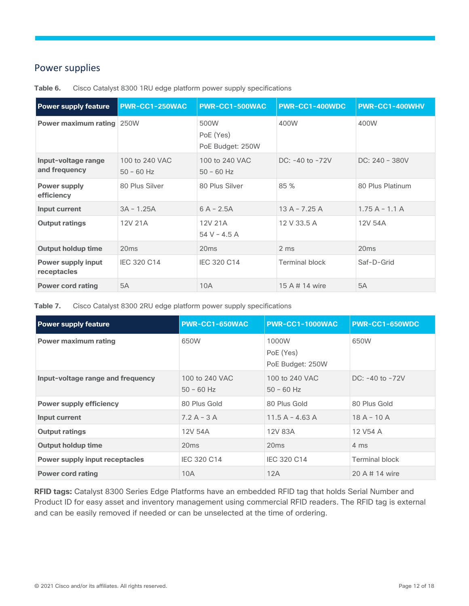# <span id="page-11-0"></span>Power supplies

| <b>Power supply feature</b>              | <b>PWR-CC1-250WAC</b>          | <b>PWR-CC1-500WAC</b>                 | <b>PWR-CC1-400WDC</b> | PWR-CC1-400WHV   |
|------------------------------------------|--------------------------------|---------------------------------------|-----------------------|------------------|
| <b>Power maximum rating 250W</b>         |                                | 500W<br>PoE (Yes)<br>PoE Budget: 250W | 400W                  | 400W             |
| Input-voltage range<br>and frequency     | 100 to 240 VAC<br>$50 - 60$ Hz | 100 to 240 VAC<br>$50 - 60$ Hz        | $DC: -40$ to $-72V$   | $DC: 240 - 380V$ |
| <b>Power supply</b><br>efficiency        | 80 Plus Silver                 | 80 Plus Silver                        | 85 %                  | 80 Plus Platinum |
| Input current                            | $3A - 1.25A$                   | $6A - 2.5A$                           | $13A - 7.25A$         | $1.75A - 1.1A$   |
| <b>Output ratings</b>                    | 12V 21A                        | 12V 21A<br>$54 V - 4.5 A$             | 12 V 33.5 A           | 12V 54A          |
| <b>Output holdup time</b>                | 20ms                           | 20 <sub>ms</sub>                      | 2 ms                  | 20ms             |
| <b>Power supply input</b><br>receptacles | IEC 320 C14                    | IEC 320 C14                           | <b>Terminal block</b> | Saf-D-Grid       |
| <b>Power cord rating</b>                 | 5A                             | 10A                                   | 15 A # 14 wire        | <b>5A</b>        |

**Table 6.** Cisco Catalyst 8300 1RU edge platform power supply specifications

**Table 7.** Cisco Catalyst 8300 2RU edge platform power supply specifications

| <b>Power supply feature</b>       | PWR-CC1-650WAC                 | <b>PWR-CC1-1000WAC</b>                 | PWR-CC1-650WDC        |
|-----------------------------------|--------------------------------|----------------------------------------|-----------------------|
| <b>Power maximum rating</b>       | 650W                           | 1000W<br>PoE (Yes)<br>PoE Budget: 250W | 650W                  |
| Input-voltage range and frequency | 100 to 240 VAC<br>$50 - 60$ Hz | 100 to 240 VAC<br>$50 - 60$ Hz         | DC: $-40$ to $-72V$   |
| <b>Power supply efficiency</b>    | 80 Plus Gold                   | 80 Plus Gold                           | 80 Plus Gold          |
| Input current                     | $7.2 A - 3 A$                  | $11.5A - 4.63A$                        | $18A - 10A$           |
| <b>Output ratings</b>             | 12V 54A                        | 12V 83A                                | 12 V54 A              |
| <b>Output holdup time</b>         | 20ms                           | 20ms                                   | 4 ms                  |
| Power supply input receptacles    | IEC 320 C14                    | <b>IEC 320 C14</b>                     | <b>Terminal block</b> |
| <b>Power cord rating</b>          | 10A                            | 12A                                    | 20 A # 14 wire        |

**RFID tags:** Catalyst 8300 Series Edge Platforms have an embedded RFID tag that holds Serial Number and Product ID for easy asset and inventory management using commercial RFID readers. The RFID tag is external and can be easily removed if needed or can be unselected at the time of ordering.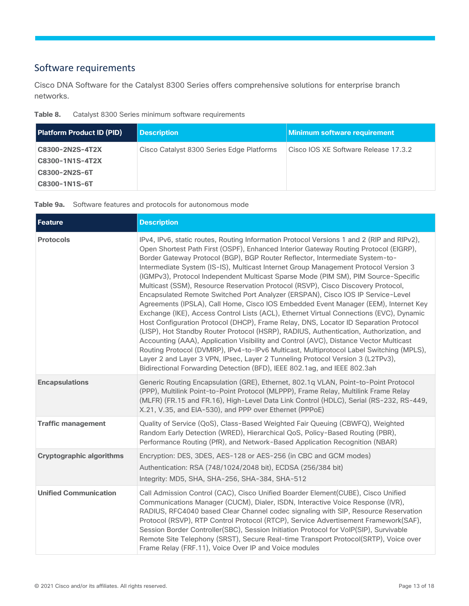# <span id="page-12-0"></span>Software requirements

Cisco DNA Software for the Catalyst 8300 Series offers comprehensive solutions for enterprise branch networks.

| Table 8. | Catalyst 8300 Series minimum software requirements |  |  |
|----------|----------------------------------------------------|--|--|
|          |                                                    |  |  |

| <b>Platform Product ID (PID)</b> | <b>Description</b>                        | <b>Minimum software requirement</b>  |
|----------------------------------|-------------------------------------------|--------------------------------------|
| C8300-2N2S-4T2X                  | Cisco Catalyst 8300 Series Edge Platforms | Cisco IOS XE Software Release 17.3.2 |
| C8300-1N1S-4T2X<br>C8300-2N2S-6T |                                           |                                      |
| C8300-1N1S-6T                    |                                           |                                      |

**Table 9a.** Software features and protocols for autonomous mode

| <b>Feature</b>                  | <b>Description</b>                                                                                                                                                                                                                                                                                                                                                                                                                                                                                                                                                                                                                                                                                                                                                                                                                                                                                                                                                                                                                                                                                                                                                                                                                                                                                                                          |
|---------------------------------|---------------------------------------------------------------------------------------------------------------------------------------------------------------------------------------------------------------------------------------------------------------------------------------------------------------------------------------------------------------------------------------------------------------------------------------------------------------------------------------------------------------------------------------------------------------------------------------------------------------------------------------------------------------------------------------------------------------------------------------------------------------------------------------------------------------------------------------------------------------------------------------------------------------------------------------------------------------------------------------------------------------------------------------------------------------------------------------------------------------------------------------------------------------------------------------------------------------------------------------------------------------------------------------------------------------------------------------------|
| <b>Protocols</b>                | IPv4, IPv6, static routes, Routing Information Protocol Versions 1 and 2 (RIP and RIPv2),<br>Open Shortest Path First (OSPF), Enhanced Interior Gateway Routing Protocol (EIGRP),<br>Border Gateway Protocol (BGP), BGP Router Reflector, Intermediate System-to-<br>Intermediate System (IS-IS), Multicast Internet Group Management Protocol Version 3<br>(IGMPv3), Protocol Independent Multicast Sparse Mode (PIM SM), PIM Source-Specific<br>Multicast (SSM), Resource Reservation Protocol (RSVP), Cisco Discovery Protocol,<br>Encapsulated Remote Switched Port Analyzer (ERSPAN), Cisco IOS IP Service-Level<br>Agreements (IPSLA), Call Home, Cisco IOS Embedded Event Manager (EEM), Internet Key<br>Exchange (IKE), Access Control Lists (ACL), Ethernet Virtual Connections (EVC), Dynamic<br>Host Configuration Protocol (DHCP), Frame Relay, DNS, Locator ID Separation Protocol<br>(LISP), Hot Standby Router Protocol (HSRP), RADIUS, Authentication, Authorization, and<br>Accounting (AAA), Application Visibility and Control (AVC), Distance Vector Multicast<br>Routing Protocol (DVMRP), IPv4-to-IPv6 Multicast, Multiprotocol Label Switching (MPLS),<br>Layer 2 and Layer 3 VPN, IPsec, Layer 2 Tunneling Protocol Version 3 (L2TPv3),<br>Bidirectional Forwarding Detection (BFD), IEEE 802.1ag, and IEEE 802.3ah |
| <b>Encapsulations</b>           | Generic Routing Encapsulation (GRE), Ethernet, 802.1q VLAN, Point-to-Point Protocol<br>(PPP), Multilink Point-to-Point Protocol (MLPPP), Frame Relay, Multilink Frame Relay<br>(MLFR) (FR.15 and FR.16), High-Level Data Link Control (HDLC), Serial (RS-232, RS-449,<br>X.21, V.35, and EIA-530), and PPP over Ethernet (PPPoE)                                                                                                                                                                                                                                                                                                                                                                                                                                                                                                                                                                                                                                                                                                                                                                                                                                                                                                                                                                                                            |
| <b>Traffic management</b>       | Quality of Service (QoS), Class-Based Weighted Fair Queuing (CBWFQ), Weighted<br>Random Early Detection (WRED), Hierarchical QoS, Policy-Based Routing (PBR),<br>Performance Routing (PfR), and Network-Based Application Recognition (NBAR)                                                                                                                                                                                                                                                                                                                                                                                                                                                                                                                                                                                                                                                                                                                                                                                                                                                                                                                                                                                                                                                                                                |
| <b>Cryptographic algorithms</b> | Encryption: DES, 3DES, AES-128 or AES-256 (in CBC and GCM modes)<br>Authentication: RSA (748/1024/2048 bit), ECDSA (256/384 bit)<br>Integrity: MD5, SHA, SHA-256, SHA-384, SHA-512                                                                                                                                                                                                                                                                                                                                                                                                                                                                                                                                                                                                                                                                                                                                                                                                                                                                                                                                                                                                                                                                                                                                                          |
| <b>Unified Communication</b>    | Call Admission Control (CAC), Cisco Unified Boarder Element(CUBE), Cisco Unified<br>Communications Manager (CUCM), Dialer, ISDN, Interactive Voice Response (IVR),<br>RADIUS, RFC4040 based Clear Channel codec signaling with SIP, Resource Reservation<br>Protocol (RSVP), RTP Control Protocol (RTCP), Service Advertisement Framework(SAF),<br>Session Border Controller(SBC), Session Initiation Protocol for VolP(SIP), Survivable<br>Remote Site Telephony (SRST), Secure Real-time Transport Protocol(SRTP), Voice over<br>Frame Relay (FRF.11), Voice Over IP and Voice modules                                                                                                                                                                                                                                                                                                                                                                                                                                                                                                                                                                                                                                                                                                                                                    |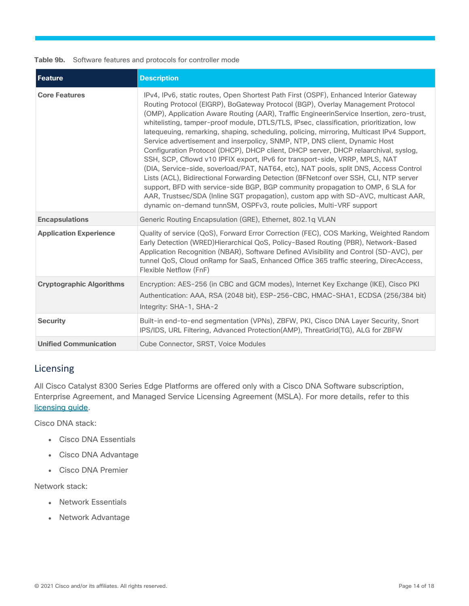### **Table 9b.** Software features and protocols for controller mode

| <b>Feature</b>                  | <b>Description</b>                                                                                                                                                                                                                                                                                                                                                                                                                                                                                                                                                                                                                                                                                                                                                                                                                                                                                                                                                                                                                                                                                                                               |
|---------------------------------|--------------------------------------------------------------------------------------------------------------------------------------------------------------------------------------------------------------------------------------------------------------------------------------------------------------------------------------------------------------------------------------------------------------------------------------------------------------------------------------------------------------------------------------------------------------------------------------------------------------------------------------------------------------------------------------------------------------------------------------------------------------------------------------------------------------------------------------------------------------------------------------------------------------------------------------------------------------------------------------------------------------------------------------------------------------------------------------------------------------------------------------------------|
| <b>Core Features</b>            | IPv4, IPv6, static routes, Open Shortest Path First (OSPF), Enhanced Interior Gateway<br>Routing Protocol (EIGRP), BoGateway Protocol (BGP), Overlay Management Protocol<br>(OMP), Application Aware Routing (AAR), Traffic EngineerinService Insertion, zero-trust,<br>whitelisting, tamper-proof module, DTLS/TLS, IPsec, classification, prioritization, low<br>latequeuing, remarking, shaping, scheduling, policing, mirroring, Multicast IPv4 Support,<br>Service advertisement and inserpolicy, SNMP, NTP, DNS client, Dynamic Host<br>Configuration Protocol (DHCP), DHCP client, DHCP server, DHCP relaarchival, syslog,<br>SSH, SCP, Cflowd v10 IPFIX export, IPv6 for transport-side, VRRP, MPLS, NAT<br>(DIA, Service-side, soverload/PAT, NAT64, etc), NAT pools, split DNS, Access Control<br>Lists (ACL), Bidirectional Forwarding Detection (BFNetconf over SSH, CLI, NTP server<br>support, BFD with service-side BGP, BGP community propagation to OMP, 6 SLA for<br>AAR, Trustsec/SDA (Inline SGT propagation), custom app with SD-AVC, multicast AAR,<br>dynamic on-demand tunnSM, OSPFv3, route policies, Multi-VRF support |
| <b>Encapsulations</b>           | Generic Routing Encapsulation (GRE), Ethernet, 802.1q VLAN                                                                                                                                                                                                                                                                                                                                                                                                                                                                                                                                                                                                                                                                                                                                                                                                                                                                                                                                                                                                                                                                                       |
| <b>Application Experience</b>   | Quality of service (QoS), Forward Error Correction (FEC), COS Marking, Weighted Random<br>Early Detection (WRED)Hierarchical QoS, Policy-Based Routing (PBR), Network-Based<br>Application Recognition (NBAR), Software Defined AVisibility and Control (SD-AVC), per<br>tunnel QoS, Cloud onRamp for SaaS, Enhanced Office 365 traffic steering, DirecAccess,<br>Flexible Netflow (FnF)                                                                                                                                                                                                                                                                                                                                                                                                                                                                                                                                                                                                                                                                                                                                                         |
| <b>Cryptographic Algorithms</b> | Encryption: AES-256 (in CBC and GCM modes), Internet Key Exchange (IKE), Cisco PKI<br>Authentication: AAA, RSA (2048 bit), ESP-256-CBC, HMAC-SHA1, ECDSA (256/384 bit)<br>Integrity: SHA-1, SHA-2                                                                                                                                                                                                                                                                                                                                                                                                                                                                                                                                                                                                                                                                                                                                                                                                                                                                                                                                                |
| <b>Security</b>                 | Built-in end-to-end segmentation (VPNs), ZBFW, PKI, Cisco DNA Layer Security, Snort<br>IPS/IDS, URL Filtering, Advanced Protection(AMP), ThreatGrid(TG), ALG for ZBFW                                                                                                                                                                                                                                                                                                                                                                                                                                                                                                                                                                                                                                                                                                                                                                                                                                                                                                                                                                            |
| <b>Unified Communication</b>    | Cube Connector, SRST, Voice Modules                                                                                                                                                                                                                                                                                                                                                                                                                                                                                                                                                                                                                                                                                                                                                                                                                                                                                                                                                                                                                                                                                                              |

# <span id="page-13-0"></span>Licensing

All Cisco Catalyst 8300 Series Edge Platforms are offered only with a Cisco DNA Software subscription, Enterprise Agreement, and Managed Service Licensing Agreement (MSLA). For more details, refer to this [licensing guide.](https://www.cisco.com/c/en/us/products/software/dna-subscription-wan/index.html)

Cisco DNA stack:

- Cisco DNA Essentials
- Cisco DNA Advantage
- Cisco DNA Premier

Network stack:

- Network Essentials
- Network Advantage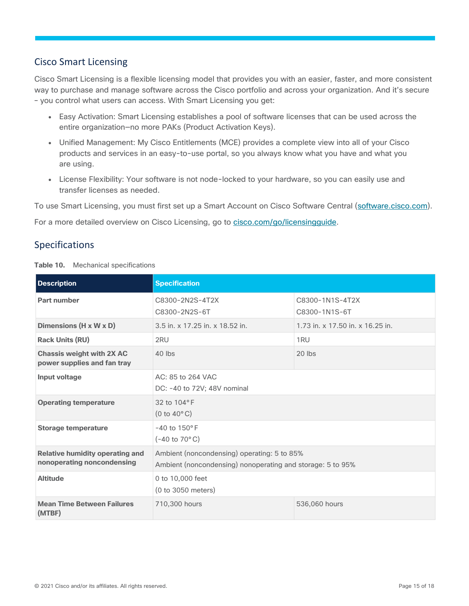# <span id="page-14-0"></span>Cisco Smart Licensing

Cisco Smart Licensing is a flexible licensing model that provides you with an easier, faster, and more consistent way to purchase and manage software across the Cisco portfolio and across your organization. And it's secure – you control what users can access. With Smart Licensing you get:

- Easy Activation: Smart Licensing establishes a pool of software licenses that can be used across the entire organization—no more PAKs (Product Activation Keys).
- Unified Management: My Cisco Entitlements (MCE) provides a complete view into all of your Cisco products and services in an easy-to-use portal, so you always know what you have and what you are using.
- License Flexibility: Your software is not node-locked to your hardware, so you can easily use and transfer licenses as needed.

To use Smart Licensing, you must first set up a Smart Account on Cisco Software Central [\(software.cisco.com\)](http://software.cisco.com/).

For a more detailed overview on Cisco Licensing, go to cisco.com/go/licensingquide.

# <span id="page-14-1"></span>Specifications

**Table 10.** Mechanical specifications

| <b>Description</b>                                                   | <b>Specification</b>                                                                                      |                                  |  |
|----------------------------------------------------------------------|-----------------------------------------------------------------------------------------------------------|----------------------------------|--|
| Part number                                                          | C8300-2N2S-4T2X<br>C8300-2N2S-6T                                                                          | C8300-1N1S-4T2X<br>C8300-1N1S-6T |  |
| Dimensions (H x W x D)                                               | 3.5 in. x 17.25 in. x 18.52 in.                                                                           | 1.73 in. x 17.50 in. x 16.25 in. |  |
| <b>Rack Units (RU)</b>                                               | 2RU                                                                                                       | 1 <sub>RU</sub>                  |  |
| <b>Chassis weight with 2X AC</b><br>power supplies and fan tray      | $40$ lbs                                                                                                  | $20$ lbs                         |  |
| Input voltage                                                        | AC: 85 to 264 VAC<br>DC: -40 to 72V; 48V nominal                                                          |                                  |  |
| <b>Operating temperature</b>                                         | 32 to 104°F<br>$(0 to 40^{\circ} \text{C})$                                                               |                                  |  |
| <b>Storage temperature</b>                                           | $-40$ to $150^{\circ}$ F<br>$(-40 \text{ to } 70^{\circ} \text{C})$                                       |                                  |  |
| <b>Relative humidity operating and</b><br>nonoperating noncondensing | Ambient (noncondensing) operating: 5 to 85%<br>Ambient (noncondensing) nonoperating and storage: 5 to 95% |                                  |  |
| <b>Altitude</b>                                                      | 0 to 10,000 feet<br>(0 to 3050 meters)                                                                    |                                  |  |
| <b>Mean Time Between Failures</b><br>(MTBF)                          | 710,300 hours                                                                                             | 536,060 hours                    |  |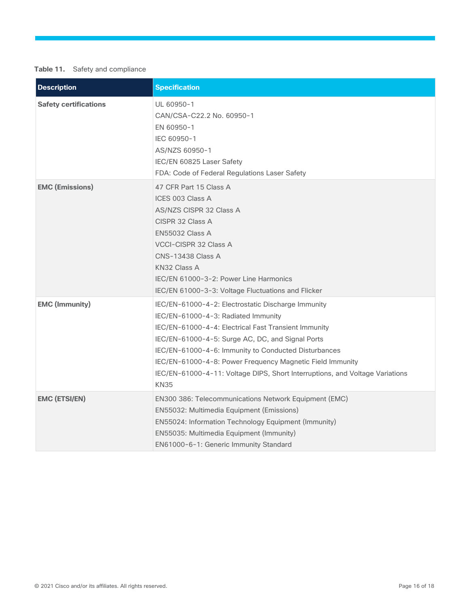### **Table 11.** Safety and compliance

| <b>Description</b>           | <b>Specification</b>                                                                                                                                                                                                                                                                                                                                                                                                      |
|------------------------------|---------------------------------------------------------------------------------------------------------------------------------------------------------------------------------------------------------------------------------------------------------------------------------------------------------------------------------------------------------------------------------------------------------------------------|
| <b>Safety certifications</b> | UL 60950-1<br>CAN/CSA-C22.2 No. 60950-1<br>EN 60950-1<br>IEC 60950-1<br>AS/NZS 60950-1<br>IEC/EN 60825 Laser Safety<br>FDA: Code of Federal Regulations Laser Safety                                                                                                                                                                                                                                                      |
| <b>EMC (Emissions)</b>       | 47 CFR Part 15 Class A<br>ICES 003 Class A<br><b>AS/NZS CISPR 32 Class A</b><br>CISPR 32 Class A<br><b>EN55032 Class A</b><br><b>VCCI-CISPR 32 Class A</b><br><b>CNS-13438 Class A</b><br>KN32 Class A<br>IEC/EN 61000-3-2: Power Line Harmonics<br>IEC/EN 61000-3-3: Voltage Fluctuations and Flicker                                                                                                                    |
| <b>EMC (Immunity)</b>        | IEC/EN-61000-4-2: Electrostatic Discharge Immunity<br>IEC/EN-61000-4-3: Radiated Immunity<br>IEC/EN-61000-4-4: Electrical Fast Transient Immunity<br>IEC/EN-61000-4-5: Surge AC, DC, and Signal Ports<br>IEC/EN-61000-4-6: Immunity to Conducted Disturbances<br>IEC/EN-61000-4-8: Power Frequency Magnetic Field Immunity<br>IEC/EN-61000-4-11: Voltage DIPS, Short Interruptions, and Voltage Variations<br><b>KN35</b> |
| <b>EMC (ETSI/EN)</b>         | EN300 386: Telecommunications Network Equipment (EMC)<br>EN55032: Multimedia Equipment (Emissions)<br>EN55024: Information Technology Equipment (Immunity)<br>EN55035: Multimedia Equipment (Immunity)<br>EN61000-6-1: Generic Immunity Standard                                                                                                                                                                          |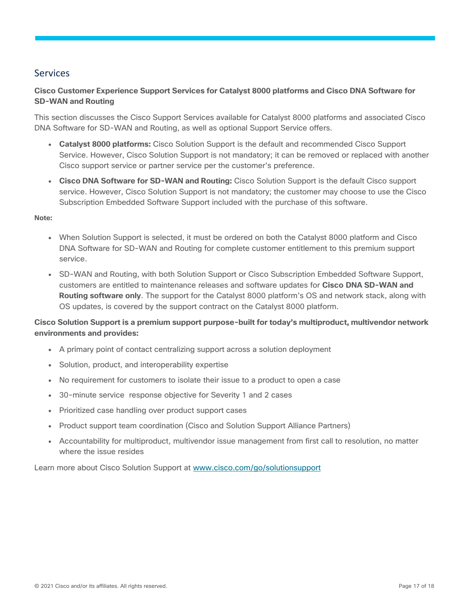## <span id="page-16-0"></span>Services

### **Cisco Customer Experience Support Services for Catalyst 8000 platforms and Cisco DNA Software for SD-WAN and Routing**

This section discusses the Cisco Support Services available for Catalyst 8000 platforms and associated Cisco DNA Software for SD-WAN and Routing, as well as optional Support Service offers.

- **Catalyst 8000 platforms:** Cisco Solution Support is the default and recommended Cisco Support Service. However, Cisco Solution Support is not mandatory; it can be removed or replaced with another Cisco support service or partner service per the customer's preference.
- **Cisco DNA Software for SD-WAN and Routing:** Cisco Solution Support is the default Cisco support service. However, Cisco Solution Support is not mandatory; the customer may choose to use the Cisco Subscription Embedded Software Support included with the purchase of this software.

### **Note:**

- When Solution Support is selected, it must be ordered on both the Catalyst 8000 platform and Cisco DNA Software for SD-WAN and Routing for complete customer entitlement to this premium support service.
- SD-WAN and Routing, with both Solution Support or Cisco Subscription Embedded Software Support, customers are entitled to maintenance releases and software updates for **Cisco DNA SD-WAN and Routing software only**. The support for the Catalyst 8000 platform's OS and network stack, along with OS updates, is covered by the support contract on the Catalyst 8000 platform.

### **Cisco Solution Support is a premium support purpose-built for today's multiproduct, multivendor network environments and provides:**

- A primary point of contact centralizing support across a solution deployment
- Solution, product, and interoperability expertise
- No requirement for customers to isolate their issue to a product to open a case
- 30-minute service response objective for Severity 1 and 2 cases
- Prioritized case handling over product support cases
- Product support team coordination (Cisco and Solution Support Alliance Partners)
- Accountability for multiproduct, multivendor issue management from first call to resolution, no matter where the issue resides

Learn more about Cisco Solution Support at [www.cisco.com/go/solutionsupport](https://cisco-router-switch-firewall.com/technical-support/)